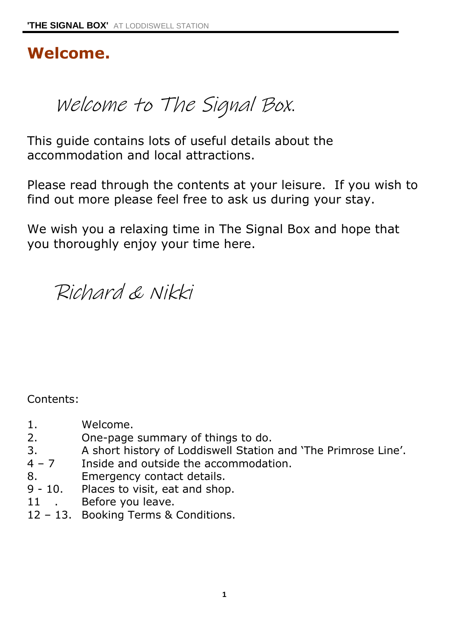# **Welcome.**

Welcome to The Signal Box.

This guide contains lots of useful details about the accommodation and local attractions.

Please read through the contents at your leisure. If you wish to find out more please feel free to ask us during your stay.

We wish you a relaxing time in The Signal Box and hope that you thoroughly enjoy your time here.

Richard & Nikki

Contents:

- 1. Welcome.
- 2. One-page summary of things to do.
- 3. A short history of Loddiswell Station and 'The Primrose Line'.
- 4 7 Inside and outside the accommodation.
- 8. Emergency contact details.
- 9 10. Places to visit, eat and shop.
- 11 . Before you leave.
- 12 13. Booking Terms & Conditions.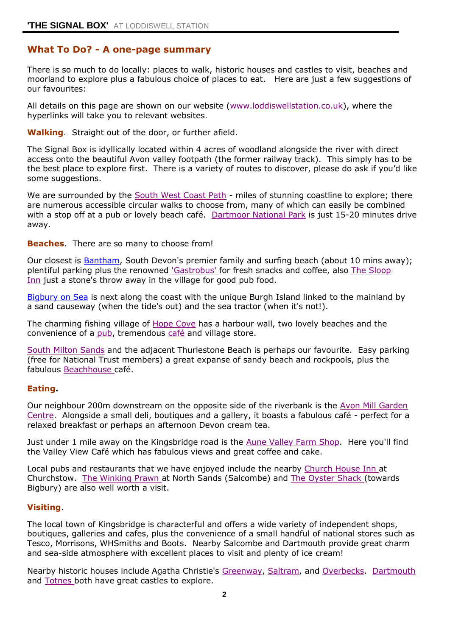# **What To Do? - A one-page summary**

There is so much to do locally: places to walk, historic houses and castles to visit, beaches and moorland to explore plus a fabulous choice of places to eat. Here are just a few suggestions of our favourites:

All details on this page are shown on our website [\(www.loddiswellstation.co.uk\)](http://www.loddiswellstation.co.uk/), where the hyperlinks will take you to relevant websites.

**Walking**. Straight out of the door, or further afield.

The Signal Box is idyllically located within 4 acres of woodland alongside the river with direct access onto the beautiful Avon valley footpath (the former railway track). This simply has to be the best place to explore first. There is a variety of routes to discover, please do ask if you'd like some suggestions.

We are surrounded by the [South West Coast Path](https://www.southwestcoastpath.org.uk/) - miles of stunning coastline to explore; there are numerous accessible circular walks to choose from, many of which can easily be combined with a stop off at a pub or lovely beach café. [Dartmoor National Park](https://www.dartmoor.gov.uk/) is just 15-20 minutes drive away.

### **Beaches**. There are so many to choose from!

Our closest is [Bantham,](https://banthamestate.co.uk/beach) South Devon's premier family and surfing beach (about 10 mins away); plentiful parking plus the renowned ['Gastrobus' f](https://www.gastrobus.co.uk/)or fresh snacks and coffee, also [The Sloop](http://thesloop.co.uk/index.php)  [Inn](http://thesloop.co.uk/index.php) just a stone's throw away in the village for good pub food.

[Bigbury on Sea](https://www.bigburyonsea.co.uk/) is next along the coast with the unique Burgh Island linked to the mainland by a sand causeway (when the tide's out) and the sea tractor (when it's not!).

The charming fishing village of [Hope Cove](http://www.hopecovedevon.co.uk/) has a harbour wall, two lovely beaches and the convenience of a [pub,](https://www.hopeandanchor.co.uk/) tremendous [café](http://www.thecovedevon.co.uk/) and village store.

[South Milton Sands](https://www.nationaltrust.org.uk/south-milton-sands) and the adjacent Thurlestone Beach is perhaps our favourite. Easy parking (free for National Trust members) a great expanse of sandy beach and rockpools, plus the fabulous [Beachhouse c](http://beachhousedevon.com/)afé.

### **Eating.**

Our neighbour 200m downstream on the opposite side of the riverbank is the [Avon Mill Garden](http://avonmill.com/)  [Centre.](http://avonmill.com/) Alongside a small deli, boutiques and a gallery, it boasts a fabulous café - perfect for a relaxed breakfast or perhaps an afternoon Devon cream tea.

Just under 1 mile away on the Kingsbridge road is the [Aune Valley Farm Shop.](http://www.aunevalleymeat.co.uk/valley-view-cafe) Here you'll find the Valley View Café which has fabulous views and great coffee and cake.

Local pubs and restaurants that we have enjoyed include the nearby [Church House Inn a](http://www.churchhouse-churchstow.com/)t Churchstow. [The Winking Prawn a](http://winkingprawngroup.co.uk/winking-prawn/)t North Sands (Salcombe) and [The Oyster Shack \(](http://www.oystershack.co.uk/)towards Bigbury) are also well worth a visit.

### **Visiting**.

The local town of Kingsbridge is characterful and offers a wide variety of independent shops, boutiques, galleries and cafes, plus the convenience of a small handful of national stores such as Tesco, Morrisons, WHSmiths and Boots. Nearby Salcombe and Dartmouth provide great charm and sea-side atmosphere with excellent places to visit and plenty of ice cream!

Nearby historic houses include Agatha Christie's [Greenway,](https://www.nationaltrust.org.uk/greenway) [Saltram,](https://www.nationaltrust.org.uk/saltram) and [Overbecks.](https://www.nationaltrust.org.uk/overbecks) [Dartmouth](http://www.english-heritage.org.uk/visit/places/dartmouth-castle/)  and [Totnes b](http://www.english-heritage.org.uk/visit/places/totnes-castle/)oth have great castles to explore.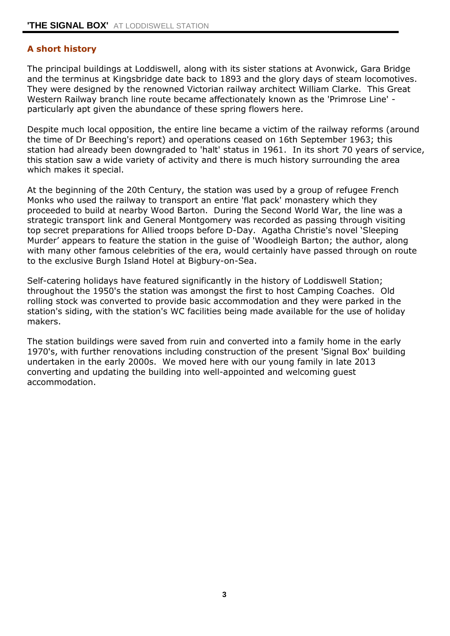### **A short history**

The principal buildings at Loddiswell, along with its sister stations at Avonwick, Gara Bridge and the terminus at Kingsbridge date back to 1893 and the glory days of steam locomotives. They were designed by the renowned Victorian railway architect William Clarke. This Great Western Railway branch line route became affectionately known as the 'Primrose Line' particularly apt given the abundance of these spring flowers here.

Despite much local opposition, the entire line became a victim of the railway reforms (around the time of Dr Beeching's report) and operations ceased on 16th September 1963; this station had already been downgraded to 'halt' status in 1961. In its short 70 years of service, this station saw a wide variety of activity and there is much history surrounding the area which makes it special.

At the beginning of the 20th Century, the station was used by a group of refugee French Monks who used the railway to transport an entire 'flat pack' monastery which they proceeded to build at nearby Wood Barton. During the Second World War, the line was a strategic transport link and General Montgomery was recorded as passing through visiting top secret preparations for Allied troops before D-Day. Agatha Christie's novel 'Sleeping Murder' appears to feature the station in the guise of 'Woodleigh Barton; the author, along with many other famous celebrities of the era, would certainly have passed through on route to the exclusive Burgh Island Hotel at Bigbury-on-Sea.

Self-catering holidays have featured significantly in the history of Loddiswell Station; throughout the 1950's the station was amongst the first to host Camping Coaches. Old rolling stock was converted to provide basic accommodation and they were parked in the station's siding, with the station's WC facilities being made available for the use of holiday makers.

The station buildings were saved from ruin and converted into a family home in the early 1970's, with further renovations including construction of the present 'Signal Box' building undertaken in the early 2000s. We moved here with our young family in late 2013 converting and updating the building into well-appointed and welcoming guest accommodation.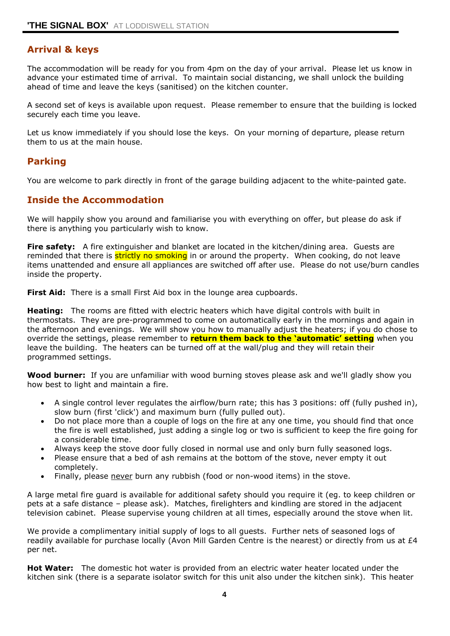# **Arrival & keys**

The accommodation will be ready for you from 4pm on the day of your arrival. Please let us know in advance your estimated time of arrival. To maintain social distancing, we shall unlock the building ahead of time and leave the keys (sanitised) on the kitchen counter.

A second set of keys is available upon request. Please remember to ensure that the building is locked securely each time you leave.

Let us know immediately if you should lose the keys. On your morning of departure, please return them to us at the main house.

### **Parking**

You are welcome to park directly in front of the garage building adjacent to the white-painted gate.

### **Inside the Accommodation**

We will happily show you around and familiarise you with everything on offer, but please do ask if there is anything you particularly wish to know.

**Fire safety:** A fire extinguisher and blanket are located in the kitchen/dining area. Guests are reminded that there is **strictly no smoking** in or around the property. When cooking, do not leave items unattended and ensure all appliances are switched off after use. Please do not use/burn candles inside the property.

**First Aid:** There is a small First Aid box in the lounge area cupboards.

**Heating:** The rooms are fitted with electric heaters which have digital controls with built in thermostats. They are pre-programmed to come on automatically early in the mornings and again in the afternoon and evenings. We will show you how to manually adjust the heaters; if you do chose to override the settings, please remember to **return them back to the 'automatic' setting** when you leave the building. The heaters can be turned off at the wall/plug and they will retain their programmed settings.

**Wood burner:** If you are unfamiliar with wood burning stoves please ask and we'll gladly show you how best to light and maintain a fire.

- A single control lever regulates the airflow/burn rate; this has 3 positions: off (fully pushed in), slow burn (first 'click') and maximum burn (fully pulled out).
- Do not place more than a couple of logs on the fire at any one time, you should find that once the fire is well established, just adding a single log or two is sufficient to keep the fire going for a considerable time.
- Always keep the stove door fully closed in normal use and only burn fully seasoned logs.
- Please ensure that a bed of ash remains at the bottom of the stove, never empty it out completely.
- Finally, please never burn any rubbish (food or non-wood items) in the stove.

A large metal fire guard is available for additional safety should you require it (eg. to keep children or pets at a safe distance – please ask). Matches, firelighters and kindling are stored in the adjacent television cabinet. Please supervise young children at all times, especially around the stove when lit.

We provide a complimentary initial supply of logs to all guests. Further nets of seasoned logs of readily available for purchase locally (Avon Mill Garden Centre is the nearest) or directly from us at  $E4$ per net.

**Hot Water:** The domestic hot water is provided from an electric water heater located under the kitchen sink (there is a separate isolator switch for this unit also under the kitchen sink). This heater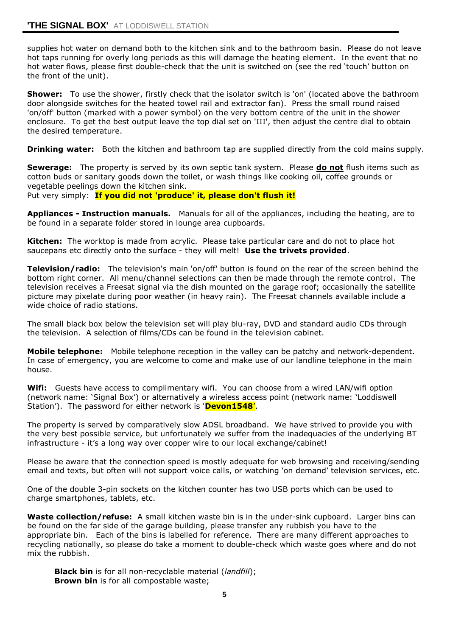supplies hot water on demand both to the kitchen sink and to the bathroom basin. Please do not leave hot taps running for overly long periods as this will damage the heating element. In the event that no hot water flows, please first double-check that the unit is switched on (see the red 'touch' button on the front of the unit).

**Shower:** To use the shower, firstly check that the isolator switch is 'on' (located above the bathroom door alongside switches for the heated towel rail and extractor fan). Press the small round raised 'on/off' button (marked with a power symbol) on the very bottom centre of the unit in the shower enclosure. To get the best output leave the top dial set on 'III', then adjust the centre dial to obtain the desired temperature.

**Drinking water:** Both the kitchen and bathroom tap are supplied directly from the cold mains supply.

**Sewerage:** The property is served by its own septic tank system. Please **do not** flush items such as cotton buds or sanitary goods down the toilet, or wash things like cooking oil, coffee grounds or vegetable peelings down the kitchen sink. Put very simply: **If you did not 'produce' it, please don't flush it!**

**Appliances - Instruction manuals.** Manuals for all of the appliances, including the heating, are to be found in a separate folder stored in lounge area cupboards.

**Kitchen:** The worktop is made from acrylic. Please take particular care and do not to place hot saucepans etc directly onto the surface - they will melt! **Use the trivets provided**.

**Television/radio:** The television's main 'on/off' button is found on the rear of the screen behind the bottom right corner. All menu/channel selections can then be made through the remote control. The television receives a Freesat signal via the dish mounted on the garage roof; occasionally the satellite picture may pixelate during poor weather (in heavy rain). The Freesat channels available include a wide choice of radio stations.

The small black box below the television set will play blu-ray, DVD and standard audio CDs through the television. A selection of films/CDs can be found in the television cabinet.

**Mobile telephone:** Mobile telephone reception in the valley can be patchy and network-dependent. In case of emergency, you are welcome to come and make use of our landline telephone in the main house.

**Wifi:** Guests have access to complimentary wifi. You can choose from a wired LAN/wifi option (network name: 'Signal Box') or alternatively a wireless access point (network name: 'Loddiswell Station'). The password for either network is '**Devon1548**'.

The property is served by comparatively slow ADSL broadband. We have strived to provide you with the very best possible service, but unfortunately we suffer from the inadequacies of the underlying BT infrastructure - it's a long way over copper wire to our local exchange/cabinet!

Please be aware that the connection speed is mostly adequate for web browsing and receiving/sending email and texts, but often will not support voice calls, or watching 'on demand' television services, etc.

One of the double 3-pin sockets on the kitchen counter has two USB ports which can be used to charge smartphones, tablets, etc.

**Waste collection/refuse:** A small kitchen waste bin is in the under-sink cupboard. Larger bins can be found on the far side of the garage building, please transfer any rubbish you have to the appropriate bin. Each of the bins is labelled for reference. There are many different approaches to recycling nationally, so please do take a moment to double-check which waste goes where and do not mix the rubbish.

**Black bin** is for all non-recyclable material (*landfill*); **Brown bin** is for all compostable waste;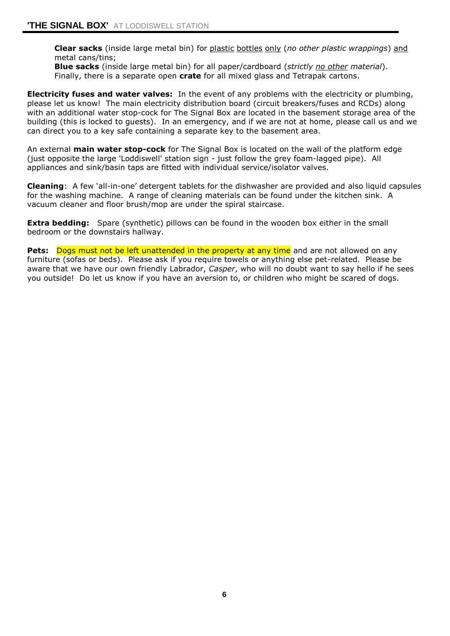**Clear sacks** (inside large metal bin) for plastic bottles only (*no other plastic wrappings*) and metal cans/tins;

**Blue sacks** (inside large metal bin) for all paper/cardboard (*strictly no other material*). Finally, there is a separate open **crate** for all mixed glass and Tetrapak cartons.

**Electricity fuses and water valves:** In the event of any problems with the electricity or plumbing, please let us know! The main electricity distribution board (circuit breakers/fuses and RCDs) along with an additional water stop-cock for The Signal Box are located in the basement storage area of the building (this is locked to guests). In an emergency, and if we are not at home, please call us and we can direct you to a key safe containing a separate key to the basement area.

An external **main water stop-cock** for The Signal Box is located on the wall of the platform edge (just opposite the large 'Loddiswell' station sign - just follow the grey foam-lagged pipe). All appliances and sink/basin taps are fitted with individual service/isolator valves.

**Cleaning**: A few 'all-in-one' detergent tablets for the dishwasher are provided and also liquid capsules for the washing machine. A range of cleaning materials can be found under the kitchen sink. A vacuum cleaner and floor brush/mop are under the spiral staircase.

**Extra bedding:** Spare (synthetic) pillows can be found in the wooden box either in the small bedroom or the downstairs hallway.

**Pets:** Dogs must not be left unattended in the property at any time and are not allowed on any furniture (sofas or beds). Please ask if you require towels or anything else pet-related. Please be aware that we have our own friendly Labrador, *Casper*, who will no doubt want to say hello if he sees you outside! Do let us know if you have an aversion to, or children who might be scared of dogs.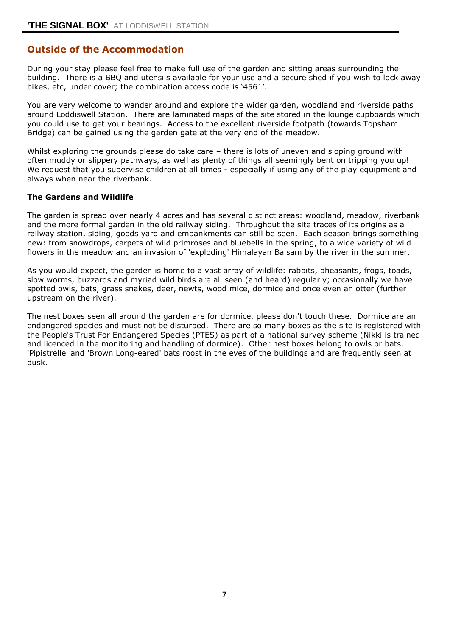### **Outside of the Accommodation**

During your stay please feel free to make full use of the garden and sitting areas surrounding the building. There is a BBQ and utensils available for your use and a secure shed if you wish to lock away bikes, etc, under cover; the combination access code is '4561'.

You are very welcome to wander around and explore the wider garden, woodland and riverside paths around Loddiswell Station. There are laminated maps of the site stored in the lounge cupboards which you could use to get your bearings. Access to the excellent riverside footpath (towards Topsham Bridge) can be gained using the garden gate at the very end of the meadow.

Whilst exploring the grounds please do take care – there is lots of uneven and sloping ground with often muddy or slippery pathways, as well as plenty of things all seemingly bent on tripping you up! We request that you supervise children at all times - especially if using any of the play equipment and always when near the riverbank.

### **The Gardens and Wildlife**

The garden is spread over nearly 4 acres and has several distinct areas: woodland, meadow, riverbank and the more formal garden in the old railway siding. Throughout the site traces of its origins as a railway station, siding, goods yard and embankments can still be seen. Each season brings something new: from snowdrops, carpets of wild primroses and bluebells in the spring, to a wide variety of wild flowers in the meadow and an invasion of 'exploding' Himalayan Balsam by the river in the summer.

As you would expect, the garden is home to a vast array of wildlife: rabbits, pheasants, frogs, toads, slow worms, buzzards and myriad wild birds are all seen (and heard) regularly; occasionally we have spotted owls, bats, grass snakes, deer, newts, wood mice, dormice and once even an otter (further upstream on the river).

The nest boxes seen all around the garden are for dormice, please don't touch these. Dormice are an endangered species and must not be disturbed. There are so many boxes as the site is registered with the People's Trust For Endangered Species (PTES) as part of a national survey scheme (Nikki is trained and licenced in the monitoring and handling of dormice). Other nest boxes belong to owls or bats. 'Pipistrelle' and 'Brown Long-eared' bats roost in the eves of the buildings and are frequently seen at dusk.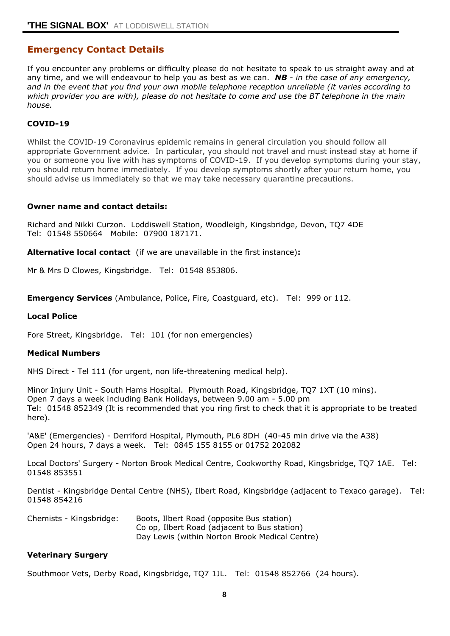### **Emergency Contact Details**

If you encounter any problems or difficulty please do not hesitate to speak to us straight away and at any time, and we will endeavour to help you as best as we can. *NB - in the case of any emergency, and in the event that you find your own mobile telephone reception unreliable (it varies according to which provider you are with), please do not hesitate to come and use the BT telephone in the main house.*

### **COVID-19**

Whilst the COVID-19 Coronavirus epidemic remains in general circulation you should follow all appropriate Government advice. In particular, you should not travel and must instead stay at home if you or someone you live with has symptoms of COVID-19. If you develop symptoms during your stay, you should return home immediately. If you develop symptoms shortly after your return home, you should advise us immediately so that we may take necessary quarantine precautions.

#### **Owner name and contact details:**

Richard and Nikki Curzon. Loddiswell Station, Woodleigh, Kingsbridge, Devon, TQ7 4DE Tel: 01548 550664 Mobile: 07900 187171.

**Alternative local contact** (if we are unavailable in the first instance)**:**

Mr & Mrs D Clowes, Kingsbridge. Tel: 01548 853806.

**Emergency Services** (Ambulance, Police, Fire, Coastguard, etc). Tel: 999 or 112.

#### **Local Police**

Fore Street, Kingsbridge. Tel: 101 (for non emergencies)

#### **Medical Numbers**

NHS Direct - Tel 111 (for urgent, non life-threatening medical help).

Minor Injury Unit - South Hams Hospital. Plymouth Road, Kingsbridge, TQ7 1XT (10 mins). Open 7 days a week including Bank Holidays, between 9.00 am - 5.00 pm Tel: 01548 852349 (It is recommended that you ring first to check that it is appropriate to be treated here).

'A&E' (Emergencies) - Derriford Hospital, Plymouth, PL6 8DH (40-45 min drive via the A38) Open 24 hours, 7 days a week. Tel: 0845 155 8155 or 01752 202082

Local Doctors' Surgery - Norton Brook Medical Centre, Cookworthy Road, Kingsbridge, TQ7 1AE. Tel: 01548 853551

Dentist - Kingsbridge Dental Centre (NHS), Ilbert Road, Kingsbridge (adjacent to Texaco garage). Tel: 01548 854216

| Chemists - Kingsbridge: | Boots, Ilbert Road (opposite Bus station)      |
|-------------------------|------------------------------------------------|
|                         | Co op, Ilbert Road (adjacent to Bus station)   |
|                         | Day Lewis (within Norton Brook Medical Centre) |

#### **Veterinary Surgery**

Southmoor Vets, Derby Road, Kingsbridge, TQ7 1JL. Tel: 01548 852766 (24 hours).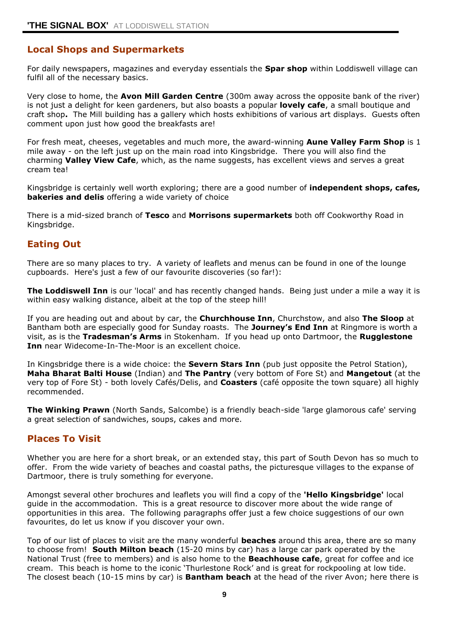# **Local Shops and Supermarkets**

For daily newspapers, magazines and everyday essentials the **Spar shop** within Loddiswell village can fulfil all of the necessary basics.

Very close to home, the **Avon Mill Garden Centre** (300m away across the opposite bank of the river) is not just a delight for keen gardeners, but also boasts a popular **lovely cafe**, a small boutique and craft shop**.** The Mill building has a gallery which hosts exhibitions of various art displays. Guests often comment upon just how good the breakfasts are!

For fresh meat, cheeses, vegetables and much more, the award-winning **Aune Valley Farm Shop** is 1 mile away - on the left just up on the main road into Kingsbridge. There you will also find the charming **Valley View Cafe**, which, as the name suggests, has excellent views and serves a great cream tea!

Kingsbridge is certainly well worth exploring; there are a good number of **independent shops, cafes, bakeries and delis** offering a wide variety of choice

There is a mid-sized branch of **Tesco** and **Morrisons supermarkets** both off Cookworthy Road in Kingsbridge.

### **Eating Out**

There are so many places to try. A variety of leaflets and menus can be found in one of the lounge cupboards. Here's just a few of our favourite discoveries (so far!):

**The Loddiswell Inn** is our 'local' and has recently changed hands. Being just under a mile a way it is within easy walking distance, albeit at the top of the steep hill!

If you are heading out and about by car, the **Churchhouse Inn**, Churchstow, and also **The Sloop** at Bantham both are especially good for Sunday roasts. The **Journey's End Inn** at Ringmore is worth a visit, as is the **Tradesman's Arms** in Stokenham. If you head up onto Dartmoor, the **Rugglestone Inn** near Widecome-In-The-Moor is an excellent choice.

In Kingsbridge there is a wide choice: the **Severn Stars Inn** (pub just opposite the Petrol Station), **Maha Bharat Balti House** (Indian) and **The Pantry** (very bottom of Fore St) and **Mangetout** (at the very top of Fore St) - both lovely Cafés/Delis, and **Coasters** (café opposite the town square) all highly recommended.

**The Winking Prawn** (North Sands, Salcombe) is a friendly beach-side 'large glamorous cafe' serving a great selection of sandwiches, soups, cakes and more.

### **Places To Visit**

Whether you are here for a short break, or an extended stay, this part of South Devon has so much to offer. From the wide variety of beaches and coastal paths, the picturesque villages to the expanse of Dartmoor, there is truly something for everyone.

Amongst several other brochures and leaflets you will find a copy of the **'Hello Kingsbridge'** local guide in the accommodation. This is a great resource to discover more about the wide range of opportunities in this area. The following paragraphs offer just a few choice suggestions of our own favourites, do let us know if you discover your own.

Top of our list of places to visit are the many wonderful **beaches** around this area, there are so many to choose from! **South Milton beach** (15-20 mins by car) has a large car park operated by the National Trust (free to members) and is also home to the **Beachhouse cafe**, great for coffee and ice cream. This beach is home to the iconic 'Thurlestone Rock' and is great for rockpooling at low tide. The closest beach (10-15 mins by car) is **Bantham beach** at the head of the river Avon; here there is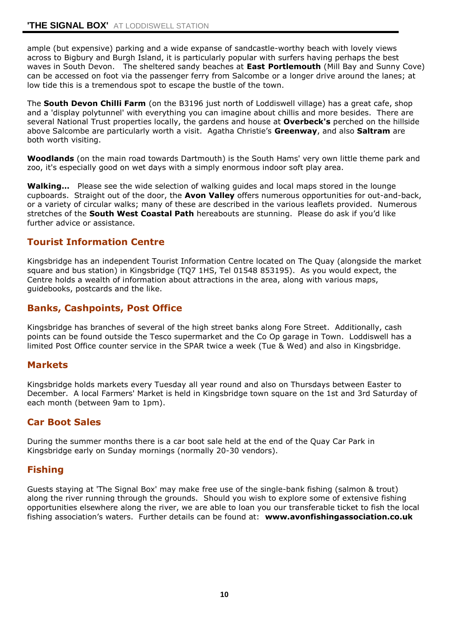ample (but expensive) parking and a wide expanse of sandcastle-worthy beach with lovely views across to Bigbury and Burgh Island, it is particularly popular with surfers having perhaps the best waves in South Devon. The sheltered sandy beaches at **East Portlemouth** (Mill Bay and Sunny Cove) can be accessed on foot via the passenger ferry from Salcombe or a longer drive around the lanes; at low tide this is a tremendous spot to escape the bustle of the town.

The **South Devon Chilli Farm** (on the B3196 just north of Loddiswell village) has a great cafe, shop and a 'display polytunnel' with everything you can imagine about chillis and more besides. There are several National Trust properties locally, the gardens and house at **Overbeck's** perched on the hillside above Salcombe are particularly worth a visit. Agatha Christie's **Greenway**, and also **Saltram** are both worth visiting.

**Woodlands** (on the main road towards Dartmouth) is the South Hams' very own little theme park and zoo, it's especially good on wet days with a simply enormous indoor soft play area.

**Walking…** Please see the wide selection of walking guides and local maps stored in the lounge cupboards. Straight out of the door, the **Avon Valley** offers numerous opportunities for out-and-back, or a variety of circular walks; many of these are described in the various leaflets provided. Numerous stretches of the **South West Coastal Path** hereabouts are stunning. Please do ask if you'd like further advice or assistance.

# **Tourist Information Centre**

Kingsbridge has an independent Tourist Information Centre located on The Quay (alongside the market square and bus station) in Kingsbridge (TQ7 1HS, Tel 01548 853195). As you would expect, the Centre holds a wealth of information about attractions in the area, along with various maps, guidebooks, postcards and the like.

# **Banks, Cashpoints, Post Office**

Kingsbridge has branches of several of the high street banks along Fore Street. Additionally, cash points can be found outside the Tesco supermarket and the Co Op garage in Town. Loddiswell has a limited Post Office counter service in the SPAR twice a week (Tue & Wed) and also in Kingsbridge.

### **Markets**

Kingsbridge holds markets every Tuesday all year round and also on Thursdays between Easter to December. A local Farmers' Market is held in Kingsbridge town square on the 1st and 3rd Saturday of each month (between 9am to 1pm).

# **Car Boot Sales**

During the summer months there is a car boot sale held at the end of the Quay Car Park in Kingsbridge early on Sunday mornings (normally 20-30 vendors).

### **Fishing**

Guests staying at 'The Signal Box' may make free use of the single-bank fishing (salmon & trout) along the river running through the grounds. Should you wish to explore some of extensive fishing opportunities elsewhere along the river, we are able to loan you our transferable ticket to fish the local fishing association's waters. Further details can be found at: **www.avonfishingassociation.co.uk**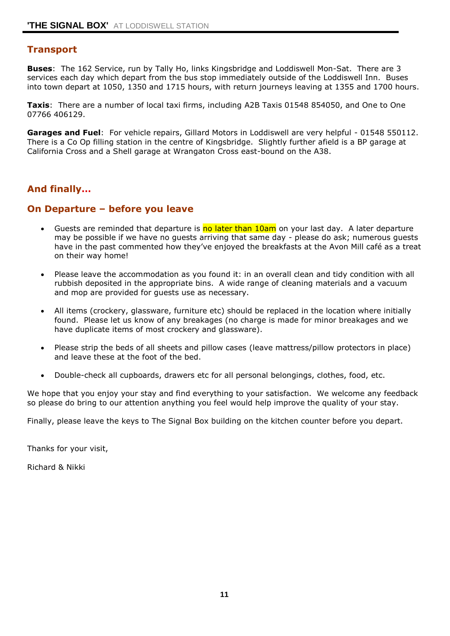### **Transport**

**Buses**: The 162 Service, run by Tally Ho, links Kingsbridge and Loddiswell Mon-Sat. There are 3 services each day which depart from the bus stop immediately outside of the Loddiswell Inn. Buses into town depart at 1050, 1350 and 1715 hours, with return journeys leaving at 1355 and 1700 hours.

**Taxis**: There are a number of local taxi firms, including A2B Taxis 01548 854050, and One to One 07766 406129.

**Garages and Fuel**: For vehicle repairs, Gillard Motors in Loddiswell are very helpful - 01548 550112. There is a Co Op filling station in the centre of Kingsbridge. Slightly further afield is a BP garage at California Cross and a Shell garage at Wrangaton Cross east-bound on the A38.

### **And finally…**

### **On Departure – before you leave**

- Guests are reminded that departure is no later than 10am on your last day. A later departure may be possible if we have no guests arriving that same day - please do ask; numerous guests have in the past commented how they've enjoyed the breakfasts at the Avon Mill café as a treat on their way home!
- Please leave the accommodation as you found it: in an overall clean and tidy condition with all rubbish deposited in the appropriate bins. A wide range of cleaning materials and a vacuum and mop are provided for guests use as necessary.
- All items (crockery, glassware, furniture etc) should be replaced in the location where initially found. Please let us know of any breakages (no charge is made for minor breakages and we have duplicate items of most crockery and glassware).
- Please strip the beds of all sheets and pillow cases (leave mattress/pillow protectors in place) and leave these at the foot of the bed.
- Double-check all cupboards, drawers etc for all personal belongings, clothes, food, etc.

We hope that you enjoy your stay and find everything to your satisfaction. We welcome any feedback so please do bring to our attention anything you feel would help improve the quality of your stay.

Finally, please leave the keys to The Signal Box building on the kitchen counter before you depart.

Thanks for your visit,

Richard & Nikki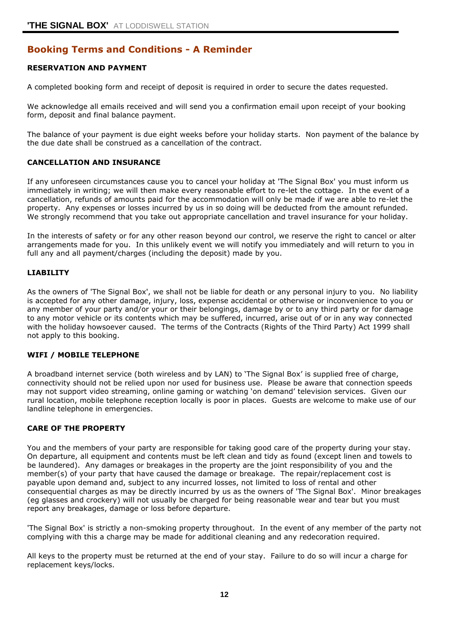# **Booking Terms and Conditions - A Reminder**

### **RESERVATION AND PAYMENT**

A completed booking form and receipt of deposit is required in order to secure the dates requested.

We acknowledge all emails received and will send you a confirmation email upon receipt of your booking form, deposit and final balance payment.

The balance of your payment is due eight weeks before your holiday starts. Non payment of the balance by the due date shall be construed as a cancellation of the contract.

### **CANCELLATION AND INSURANCE**

If any unforeseen circumstances cause you to cancel your holiday at 'The Signal Box' you must inform us immediately in writing; we will then make every reasonable effort to re-let the cottage. In the event of a cancellation, refunds of amounts paid for the accommodation will only be made if we are able to re-let the property. Any expenses or losses incurred by us in so doing will be deducted from the amount refunded. We strongly recommend that you take out appropriate cancellation and travel insurance for your holiday.

In the interests of safety or for any other reason beyond our control, we reserve the right to cancel or alter arrangements made for you. In this unlikely event we will notify you immediately and will return to you in full any and all payment/charges (including the deposit) made by you.

#### **LIABILITY**

As the owners of 'The Signal Box', we shall not be liable for death or any personal injury to you. No liability is accepted for any other damage, injury, loss, expense accidental or otherwise or inconvenience to you or any member of your party and/or your or their belongings, damage by or to any third party or for damage to any motor vehicle or its contents which may be suffered, incurred, arise out of or in any way connected with the holiday howsoever caused. The terms of the Contracts (Rights of the Third Party) Act 1999 shall not apply to this booking.

### **WIFI / MOBILE TELEPHONE**

A broadband internet service (both wireless and by LAN) to 'The Signal Box' is supplied free of charge, connectivity should not be relied upon nor used for business use. Please be aware that connection speeds may not support video streaming, online gaming or watching 'on demand' television services. Given our rural location, mobile telephone reception locally is poor in places. Guests are welcome to make use of our landline telephone in emergencies.

#### **CARE OF THE PROPERTY**

You and the members of your party are responsible for taking good care of the property during your stay. On departure, all equipment and contents must be left clean and tidy as found (except linen and towels to be laundered). Any damages or breakages in the property are the joint responsibility of you and the member(s) of your party that have caused the damage or breakage. The repair/replacement cost is payable upon demand and, subject to any incurred losses, not limited to loss of rental and other consequential charges as may be directly incurred by us as the owners of 'The Signal Box'. Minor breakages (eg glasses and crockery) will not usually be charged for being reasonable wear and tear but you must report any breakages, damage or loss before departure.

'The Signal Box' is strictly a non-smoking property throughout. In the event of any member of the party not complying with this a charge may be made for additional cleaning and any redecoration required.

All keys to the property must be returned at the end of your stay. Failure to do so will incur a charge for replacement keys/locks.